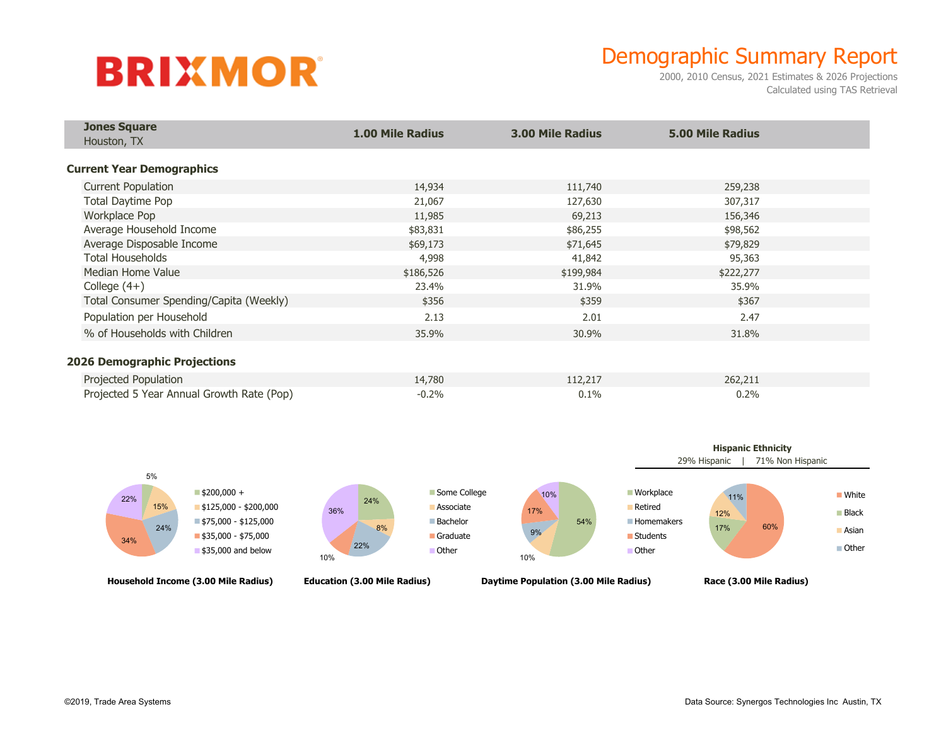## **BRIXMOR**

## Demographic Summary Report

2000, 2010 Census, 2021 Estimates & 2026 Projections Calculated using TAS Retrieval

| <b>Jones Square</b><br>Houston, TX        | <b>1.00 Mile Radius</b> | <b>3.00 Mile Radius</b> | <b>5.00 Mile Radius</b> |  |
|-------------------------------------------|-------------------------|-------------------------|-------------------------|--|
| <b>Current Year Demographics</b>          |                         |                         |                         |  |
|                                           |                         |                         |                         |  |
| <b>Current Population</b>                 | 14,934                  | 111,740                 | 259,238                 |  |
| <b>Total Daytime Pop</b>                  | 21,067                  | 127,630                 | 307,317                 |  |
| Workplace Pop                             | 11,985                  | 69,213                  | 156,346                 |  |
| Average Household Income                  | \$83,831                | \$86,255                | \$98,562                |  |
| Average Disposable Income                 | \$69,173                | \$71,645                | \$79,829                |  |
| <b>Total Households</b>                   | 4,998                   | 41,842                  | 95,363                  |  |
| Median Home Value                         | \$186,526               | \$199,984               | \$222,277               |  |
| College $(4+)$                            | 23.4%                   | 31.9%                   | 35.9%                   |  |
| Total Consumer Spending/Capita (Weekly)   | \$356                   | \$359                   | \$367                   |  |
| Population per Household                  | 2.13                    | 2.01                    | 2.47                    |  |
| % of Households with Children             | 35.9%                   | 30.9%                   | 31.8%                   |  |
| <b>2026 Demographic Projections</b>       |                         |                         |                         |  |
|                                           |                         |                         |                         |  |
| Projected Population                      | 14,780                  | 112,217                 | 262,211                 |  |
| Projected 5 Year Annual Growth Rate (Pop) | $-0.2%$                 | 0.1%                    | 0.2%                    |  |